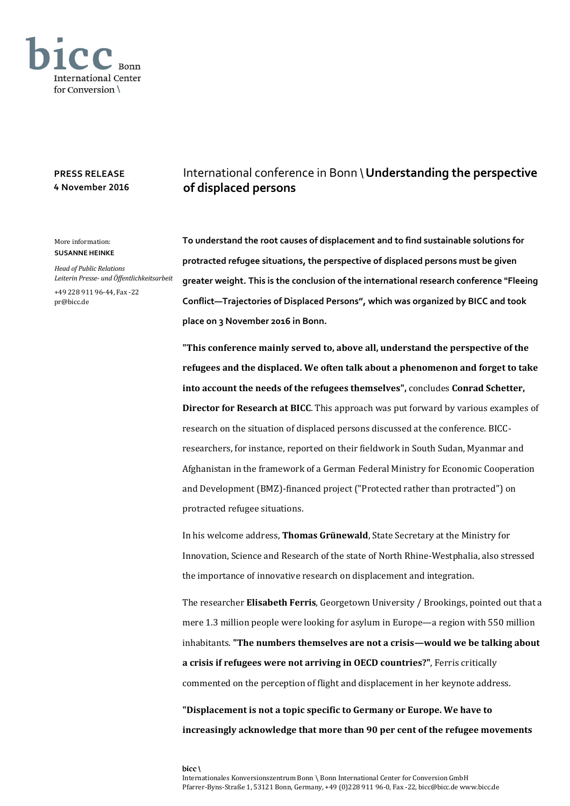

## **PRESS RELEASE 4 November 2016**

## More information: **SUSANNE HEINKE**

*Head of Public Relations Leiterin Presse- und Öffentlichkeitsarbeit*

+49 228 911 96-44, Fax -22 pr@bicc.de

## International conference in Bonn \ **Understanding the perspective of displaced persons**

**To understand the root causes of displacement and to find sustainable solutions for protracted refugee situations, the perspective of displaced persons must be given greater weight. This is the conclusion of the international research conference "Fleeing Conflict—Trajectories of Displaced Persons", which was organized by BICC and took place on 3 November 2016 in Bonn.**

**"This conference mainly served to, above all, understand the perspective of the refugees and the displaced. We often talk about a phenomenon and forget to take into account the needs of the refugees themselves",** concludes **Conrad Schetter, Director for Research at BICC**. This approach was put forward by various examples of research on the situation of displaced persons discussed at the conference. BICCresearchers, for instance, reported on their fieldwork in South Sudan, Myanmar and Afghanistan in the framework of a German Federal Ministry for Economic Cooperation and Development (BMZ)-financed project ("Protected rather than protracted") on protracted refugee situations.

In his welcome address, **Thomas Grünewald**, State Secretary at the Ministry for Innovation, Science and Research of the state of North Rhine-Westphalia, also stressed the importance of innovative research on displacement and integration.

The researcher **Elisabeth Ferris**, Georgetown University / Brookings, pointed out that a mere 1.3 million people were looking for asylum in Europe—a region with 550 million inhabitants. **"The numbers themselves are not a crisis—would we be talking about a crisis if refugees were not arriving in OECD countries?"**, Ferris critically commented on the perception of flight and displacement in her keynote address.

**"Displacement is not a topic specific to Germany or Europe. We have to increasingly acknowledge that more than 90 per cent of the refugee movements**